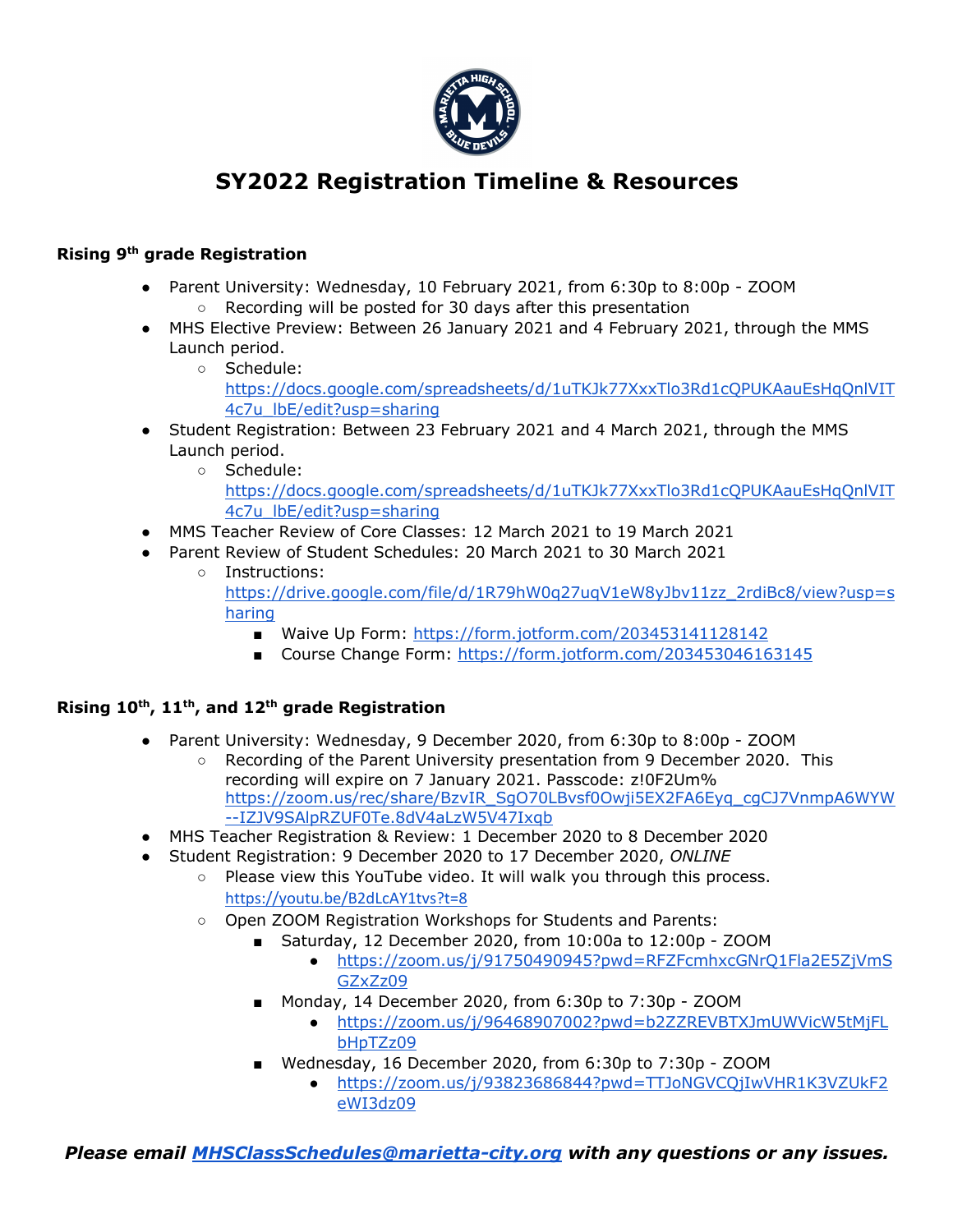

# **SY2022 Registration Timeline & Resources**

### **Rising 9th grade Registration**

- Parent University: Wednesday, 10 February 2021, from 6:30p to 8:00p ZOOM ○ Recording will be posted for 30 days after this presentation
- MHS Elective Preview: Between 26 January 2021 and 4 February 2021, through the MMS Launch period.
	- Schedule: https://docs.google.com/spreadsheets/d/1uTKJk77XxxTlo3Rd1cOPUKAauEsHqOnlVIT 4c7u\_lbE/edit?usp=sharing
- Student Registration: Between 23 February 2021 and 4 March 2021, through the MMS Launch period.
	- Schedule: https://docs.google.com/spreadsheets/d/1uTKJk77XxxTlo3Rd1cOPUKAauEsHgOnlVIT 4c7u\_lbE/edit?usp=sharing
- MMS Teacher Review of Core Classes: 12 March 2021 to 19 March 2021
- Parent Review of Student Schedules: 20 March 2021 to 30 March 2021
	- Instructions: https://drive.google.com/file/d/1R79hW0q27uqV1eW8yJbv11zz\_2rdiBc8/view?usp=s haring
		- Waive Up Form: https://form.jotform.com/203453141128142
		- Course Change Form: https://form.jotform.com/203453046163145

### **Rising 10th, 11th, and 12th grade Registration**

- Parent University: Wednesday, 9 December 2020, from 6:30p to 8:00p ZOOM
	- Recording of the Parent University presentation from 9 December 2020. This recording will expire on 7 January 2021. Passcode: z!0F2Um% https://zoom.us/rec/share/BzvIR\_SgO70LBvsf0Owji5EX2FA6Eyq\_cgCJ7VnmpA6WYW --IZJV9SAlpRZUF0Te.8dV4aLzW5V47Ixqb
- MHS Teacher Registration & Review: 1 December 2020 to 8 December 2020
- Student Registration: 9 December 2020 to 17 December 2020, *ONLINE*
	- Please view this YouTube video. It will walk you through this process. https://youtu.be/B2dLcAY1tvs?t=8
	- Open ZOOM Registration Workshops for Students and Parents:
		- Saturday, 12 December 2020, from 10:00a to 12:00p ZOOM
			- https://zoom.us/j/91750490945?pwd=RFZFcmhxcGNrQ1Fla2E5ZjVmS GZxZz09
		- Monday, 14 December 2020, from 6:30p to 7:30p ZOOM
			- https://zoom.us/j/96468907002?pwd=b2ZZREVBTXJmUWVicW5tMjFL bHpTZz09
		- Wednesday, 16 December 2020, from 6:30p to 7:30p ZOOM
			- https://zoom.us/j/93823686844?pwd=TTJoNGVCQjIwVHR1K3VZUkF2 eWI3dz09

*Please email MHSClassSchedules@marietta-city.org with any questions or any issues.*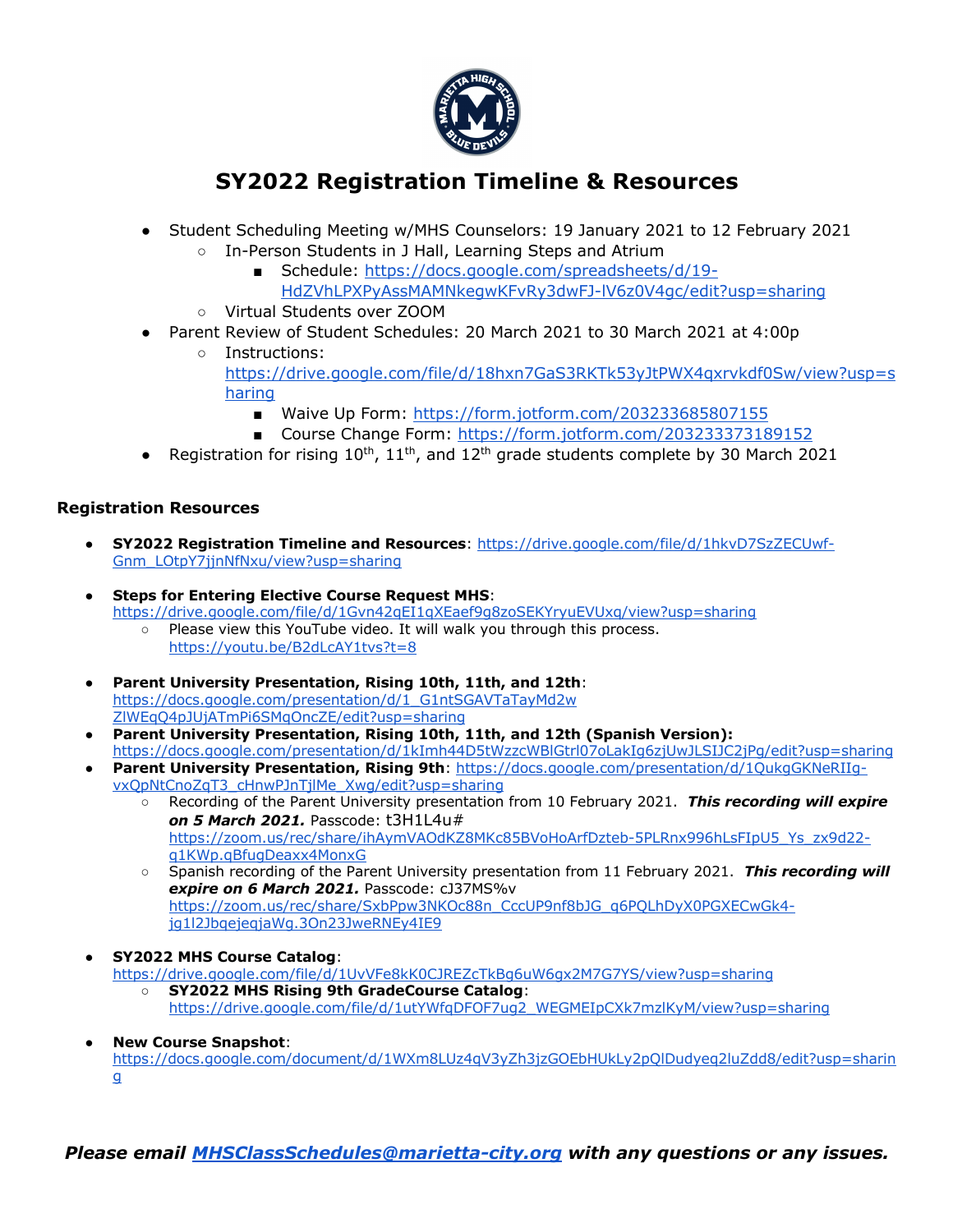

## **SY2022 Registration Timeline & Resources**

- Student Scheduling Meeting w/MHS Counselors: 19 January 2021 to 12 February 2021
	- In-Person Students in J Hall, Learning Steps and Atrium
		- Schedule: https://docs.google.com/spreadsheets/d/19-HdZVhLPXPyAssMAMNkegwKFvRy3dwFJ-lV6z0V4gc/edit?usp=sharing
	- Virtual Students over ZOOM
- Parent Review of Student Schedules: 20 March 2021 to 30 March 2021 at 4:00p
	- Instructions: https://drive.google.com/file/d/18hxn7GaS3RKTk53yJtPWX4qxrvkdf0Sw/view?usp=s haring
		- Waive Up Form: https://form.jotform.com/203233685807155
		- Course Change Form: https://form.jotform.com/203233373189152
- Registration for rising  $10^{th}$ ,  $11^{th}$ , and  $12^{th}$  grade students complete by 30 March 2021

### **Registration Resources**

- **SY2022 Registration Timeline and Resources**: https://drive.google.com/file/d/1hkvD7SzZECUwf-Gnm\_LOtpY7jjnNfNxu/view?usp=sharing
- **Steps for Entering Elective Course Request MHS:** https://drive.google.com/file/d/1Gvn42qEI1qXEaef9g8zoSEKYryuEVUxq/view?usp=sharing ○ Please view this YouTube video. It will walk you through this process. https://youtu.be/B2dLcAY1tvs?t=8
- **Parent University Presentation, Rising 10th, 11th, and 12th**: https://docs.google.com/presentation/d/1\_G1ntSGAVTaTayMd2w ZlWEqQ4pJUjATmPi6SMqOncZE/edit?usp=sharing
- **Parent University Presentation, Rising 10th, 11th, and 12th (Spanish Version):**  https://docs.google.com/presentation/d/1kImh44D5tWzzcWBlGtrl07oLakIg6zjUwJLSIJC2jPg/edit?usp=sharing
- **Parent University Presentation, Rising 9th**: https://docs.google.com/presentation/d/1QukgGKNeRIIgvxQpNtCnoZqT3\_cHnwPJnTjlMe\_Xwg/edit?usp=sharing
	- Recording of the Parent University presentation from 10 February 2021. *This recording will expire on 5 March 2021.* Passcode: t3H1L4u# https://zoom.us/rec/share/ihAymVAOdKZ8MKc85BVoHoArfDzteb-5PLRnx996hLsFIpU5\_Ys\_zx9d22 q1KWp.qBfugDeaxx4MonxG
	- Spanish recording of the Parent University presentation from 11 February 2021. *This recording will expire on 6 March 2021.* Passcode: cJ37MS%v https://zoom.us/rec/share/SxbPpw3NKOc88n\_CccUP9nf8bJG\_q6PQLhDyX0PGXECwGk4 jg1l2JbqejeqjaWg.3On23JweRNEy4IE9
- **SY2022 MHS Course Catalog**: https://drive.google.com/file/d/1UvVFe8kK0CJREZcTkBg6uW6gx2M7G7YS/view?usp=sharing
	- **SY2022 MHS Rising 9th GradeCourse Catalog**: https://drive.google.com/file/d/1utYWfqDFOF7ug2\_WEGMEIpCXk7mzlKyM/view?usp=sharing
- **New Course Snapshot:** https://docs.google.com/document/d/1WXm8LUz4qV3yZh3jzGOEbHUkLy2pQlDudyeq2luZdd8/edit?usp=sharin g

*Please email MHSClassSchedules@marietta-city.org with any questions or any issues.*